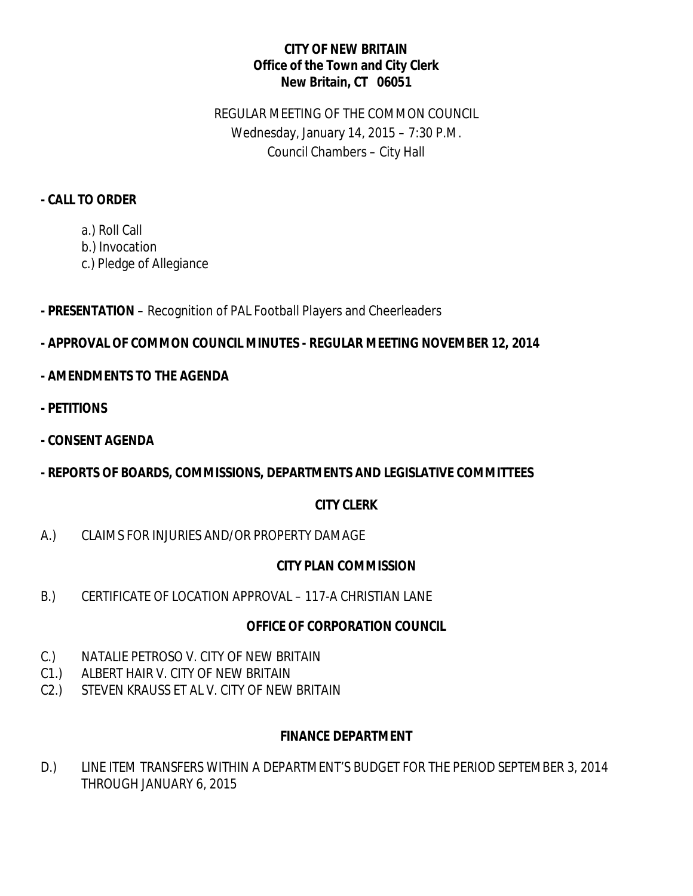#### **CITY OF NEW BRITAIN Office of the Town and City Clerk New Britain, CT 06051**

# REGULAR MEETING OF THE COMMON COUNCIL Wednesday, January 14, 2015 – 7:30 P.M. Council Chambers – City Hall

#### **- CALL TO ORDER**

- a.) Roll Call
- b.) Invocation
- c.) Pledge of Allegiance
- **- PRESENTATION** Recognition of PAL Football Players and Cheerleaders

# **- APPROVAL OF COMMON COUNCIL MINUTES - REGULAR MEETING NOVEMBER 12, 2014**

- **- AMENDMENTS TO THE AGENDA**
- **- PETITIONS**
- **- CONSENT AGENDA**
- **- REPORTS OF BOARDS, COMMISSIONS, DEPARTMENTS AND LEGISLATIVE COMMITTEES**

## **CITY CLERK**

A.) CLAIMS FOR INJURIES AND/OR PROPERTY DAMAGE

## **CITY PLAN COMMISSION**

B.) CERTIFICATE OF LOCATION APPROVAL – 117-A CHRISTIAN LANE

## **OFFICE OF CORPORATION COUNCIL**

- C.) NATALIE PETROSO V. CITY OF NEW BRITAIN
- C1.) ALBERT HAIR V. CITY OF NEW BRITAIN
- C2.) STEVEN KRAUSS ET AL V. CITY OF NEW BRITAIN

## **FINANCE DEPARTMENT**

D.) LINE ITEM TRANSFERS WITHIN A DEPARTMENT'S BUDGET FOR THE PERIOD SEPTEMBER 3, 2014 THROUGH JANUARY 6, 2015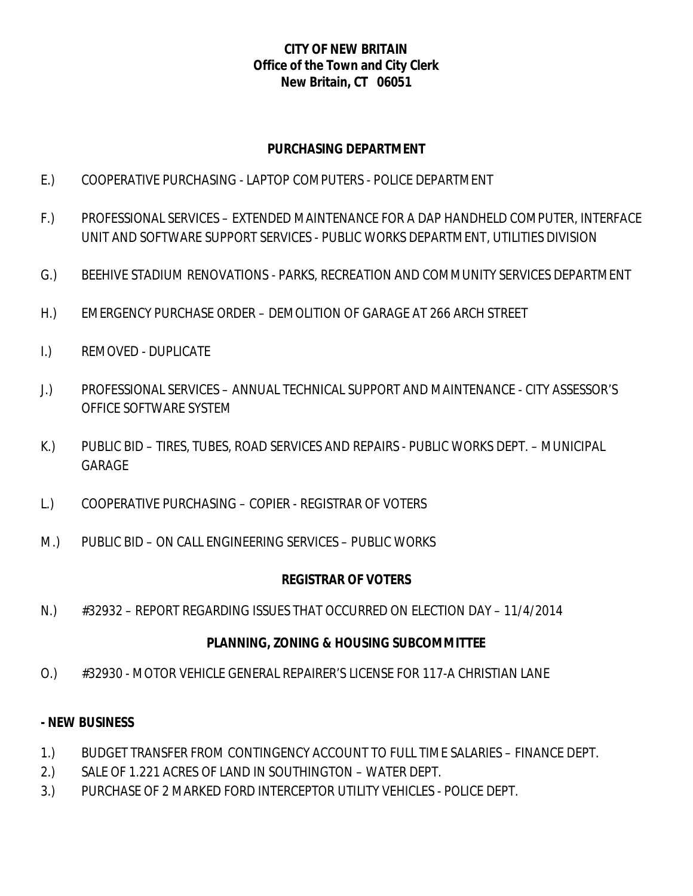#### **CITY OF NEW BRITAIN Office of the Town and City Clerk New Britain, CT 06051**

#### **PURCHASING DEPARTMENT**

- E.) COOPERATIVE PURCHASING LAPTOP COMPUTERS POLICE DEPARTMENT
- F.) PROFESSIONAL SERVICES EXTENDED MAINTENANCE FOR A DAP HANDHELD COMPUTER, INTERFACE UNIT AND SOFTWARE SUPPORT SERVICES - PUBLIC WORKS DEPARTMENT, UTILITIES DIVISION
- G.) BEEHIVE STADIUM RENOVATIONS PARKS, RECREATION AND COMMUNITY SERVICES DEPARTMENT
- H.) EMERGENCY PURCHASE ORDER DEMOLITION OF GARAGE AT 266 ARCH STREET
- I.) REMOVED DUPLICATE
- J.) PROFESSIONAL SERVICES ANNUAL TECHNICAL SUPPORT AND MAINTENANCE CITY ASSESSOR'S OFFICE SOFTWARE SYSTEM
- K.) PUBLIC BID TIRES, TUBES, ROAD SERVICES AND REPAIRS PUBLIC WORKS DEPT. MUNICIPAL GARAGE
- L.) COOPERATIVE PURCHASING COPIER REGISTRAR OF VOTERS
- M.) PUBLIC BID ON CALL ENGINEERING SERVICES PUBLIC WORKS

## **REGISTRAR OF VOTERS**

N.) #32932 – REPORT REGARDING ISSUES THAT OCCURRED ON ELECTION DAY – 11/4/2014

## **PLANNING, ZONING & HOUSING SUBCOMMITTEE**

O.) #32930 - MOTOR VEHICLE GENERAL REPAIRER'S LICENSE FOR 117-A CHRISTIAN LANE

## **- NEW BUSINESS**

- 1.) BUDGET TRANSFER FROM CONTINGENCY ACCOUNT TO FULL TIME SALARIES FINANCE DEPT.
- 2.) SALE OF 1.221 ACRES OF LAND IN SOUTHINGTON WATER DEPT.
- 3.) PURCHASE OF 2 MARKED FORD INTERCEPTOR UTILITY VEHICLES POLICE DEPT.